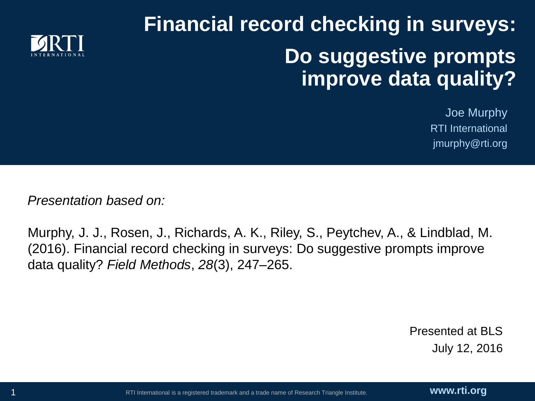# **Financial record checking in surveys: Do suggestive prompts improve data quality?**



*Presentation based on:*

Murphy, J. J., Rosen, J., Richards, A. K., Riley, S., Peytchev, A., & Lindblad, M. (2016). Financial record checking in surveys: Do suggestive prompts improve data quality? *Field Methods*, *28*(3), 247–265.

> Presented at BLS July 12, 2016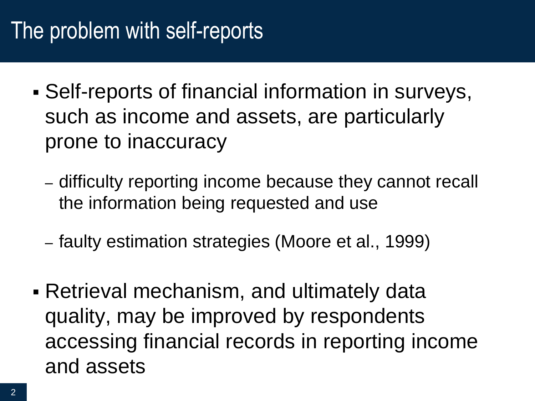# The problem with self-reports

- Self-reports of financial information in surveys, such as income and assets, are particularly prone to inaccuracy
	- difficulty reporting income because they cannot recall the information being requested and use
	- faulty estimation strategies (Moore et al., 1999)
- Retrieval mechanism, and ultimately data quality, may be improved by respondents accessing financial records in reporting income and assets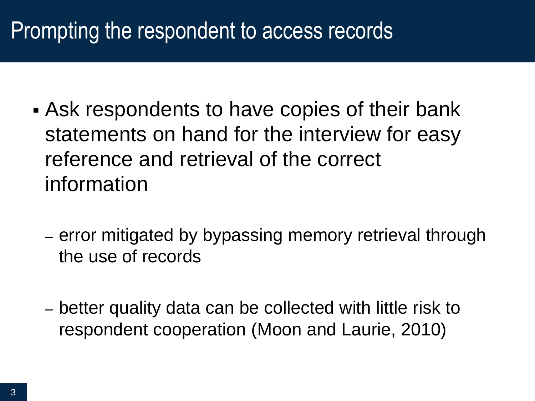# Prompting the respondent to access records

- Ask respondents to have copies of their bank statements on hand for the interview for easy reference and retrieval of the correct information
	- error mitigated by bypassing memory retrieval through the use of records
	- better quality data can be collected with little risk to respondent cooperation (Moon and Laurie, 2010)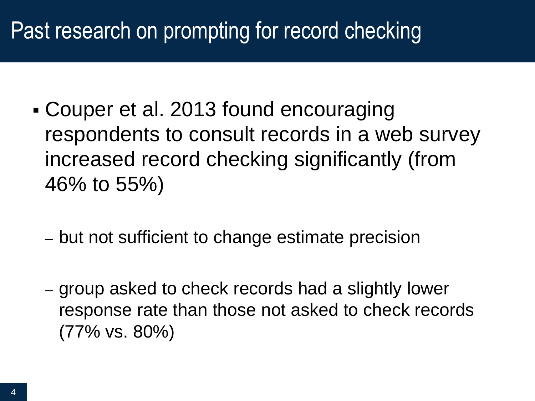# Past research on prompting for record checking

- Couper et al. 2013 found encouraging respondents to consult records in a web survey increased record checking significantly (from 46% to 55%)
	- but not sufficient to change estimate precision
	- group asked to check records had a slightly lower response rate than those not asked to check records (77% vs. 80%)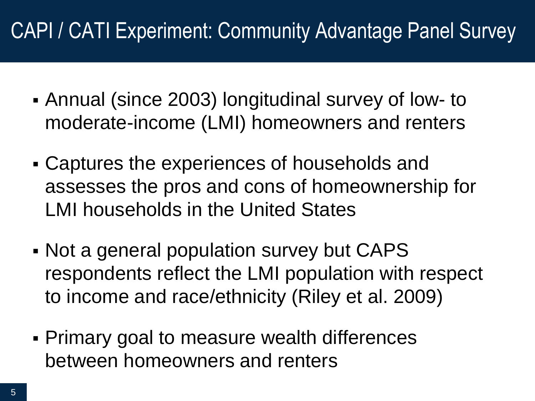## CAPI / CATI Experiment: Community Advantage Panel Survey

- Annual (since 2003) longitudinal survey of low- to moderate-income (LMI) homeowners and renters
- Captures the experiences of households and assesses the pros and cons of homeownership for LMI households in the United States
- Not a general population survey but CAPS respondents reflect the LMI population with respect to income and race/ethnicity (Riley et al. 2009)
- Primary goal to measure wealth differences between homeowners and renters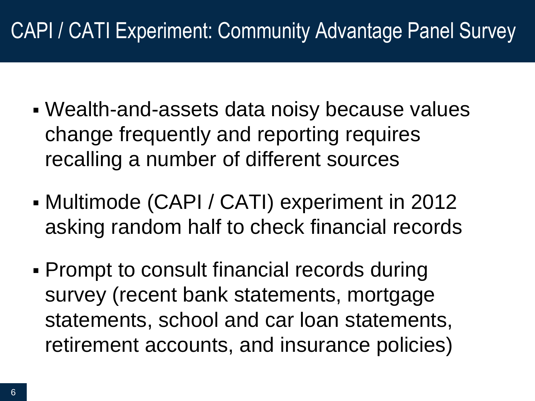## CAPI / CATI Experiment: Community Advantage Panel Survey

- Wealth-and-assets data noisy because values change frequently and reporting requires recalling a number of different sources
- Multimode (CAPI / CATI) experiment in 2012 asking random half to check financial records
- **Prompt to consult financial records during** survey (recent bank statements, mortgage statements, school and car loan statements, retirement accounts, and insurance policies)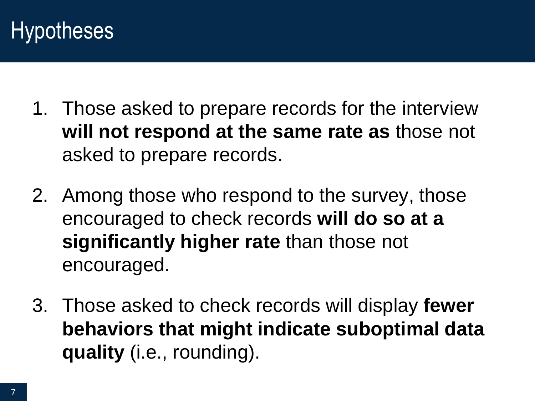## **Hypotheses**

- 1. Those asked to prepare records for the interview **will not respond at the same rate as** those not asked to prepare records.
- 2. Among those who respond to the survey, those encouraged to check records **will do so at a significantly higher rate** than those not encouraged.
- 3. Those asked to check records will display **fewer behaviors that might indicate suboptimal data quality** (i.e., rounding).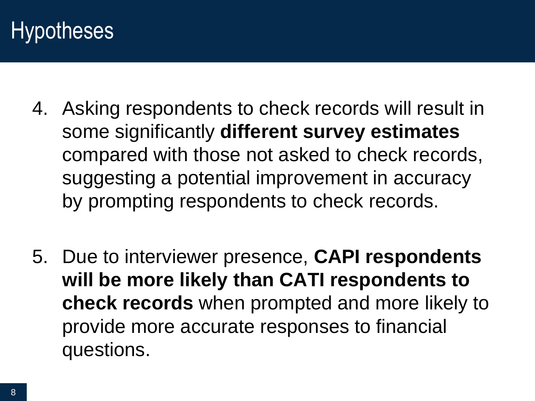## **Hypotheses**

- 4. Asking respondents to check records will result in some significantly **different survey estimates** compared with those not asked to check records, suggesting a potential improvement in accuracy by prompting respondents to check records.
- 5. Due to interviewer presence, **CAPI respondents will be more likely than CATI respondents to check records** when prompted and more likely to provide more accurate responses to financial questions.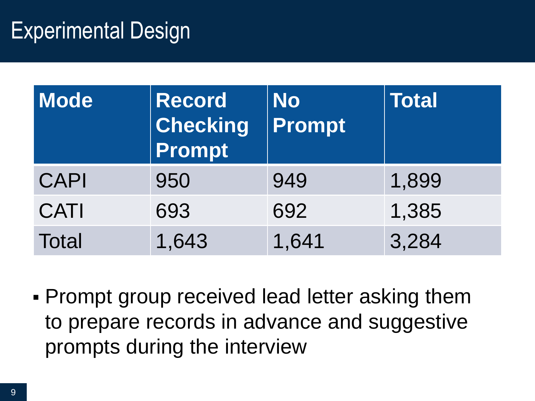## Experimental Design

| Mode         | Record<br>$ $ Checking<br>Prompt | <b>No</b><br><b>Prompt</b> | <b>Total</b> |
|--------------|----------------------------------|----------------------------|--------------|
| <b>CAPI</b>  | 950                              | 949                        | 1,899        |
| <b>CATI</b>  | 693                              | 692                        | 1,385        |
| <b>Total</b> | 1,643                            | 1,641                      | 3,284        |

 Prompt group received lead letter asking them to prepare records in advance and suggestive prompts during the interview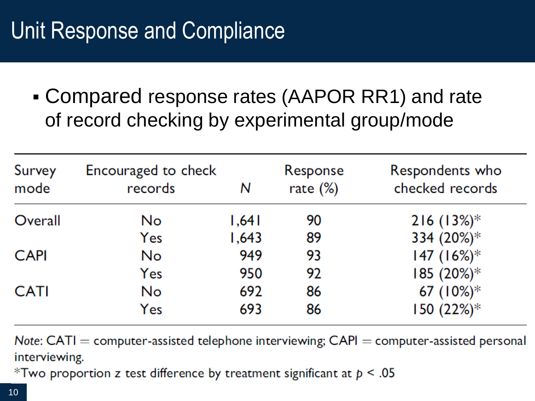# Unit Response and Compliance

 Compared response rates (AAPOR RR1) and rate of record checking by experimental group/mode

| Survey<br>mode | Encouraged to check<br>records | Ν     | Response<br>rate $(\%)$ | Respondents who<br>checked records |
|----------------|--------------------------------|-------|-------------------------|------------------------------------|
| Overall        | <b>No</b>                      | 1,641 | 90                      | $216 (13%)$ *                      |
|                | Yes                            | 1,643 | 89                      | 334 (20%)*                         |
| <b>CAPI</b>    | No                             | 949   | 93                      | 147 $(16\%)^*$                     |
|                | Yes                            | 950   | 92                      | 185 (20%)*                         |
| <b>CATI</b>    | No                             | 692   | 86                      | 67 $(10\%)^*$                      |
|                | Yes                            | 693   | 86                      | $150 (22%)$ *                      |

Note:  $CATI =$  computer-assisted telephone interviewing;  $CAPI =$  computer-assisted personal interviewing.

\*Two proportion z test difference by treatment significant at  $p < .05$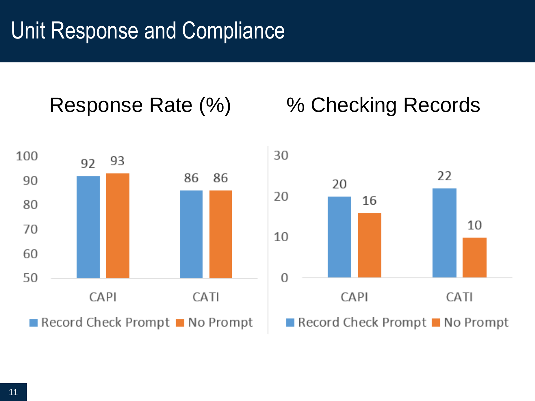#### Response Rate (%) % Checking Records



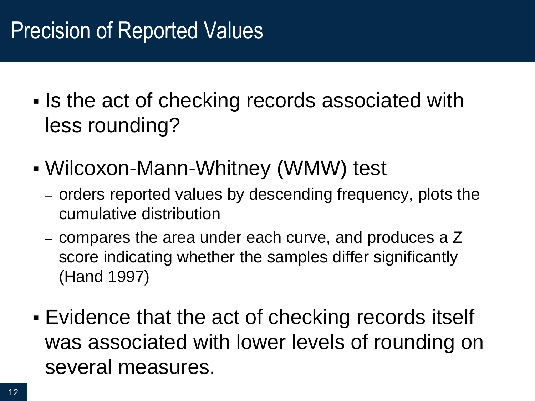# Precision of Reported Values

- If Is the act of checking records associated with less rounding?
- Wilcoxon-Mann-Whitney (WMW) test
	- orders reported values by descending frequency, plots the cumulative distribution
	- compares the area under each curve, and produces a Z score indicating whether the samples differ significantly (Hand 1997)
- Evidence that the act of checking records itself was associated with lower levels of rounding on several measures.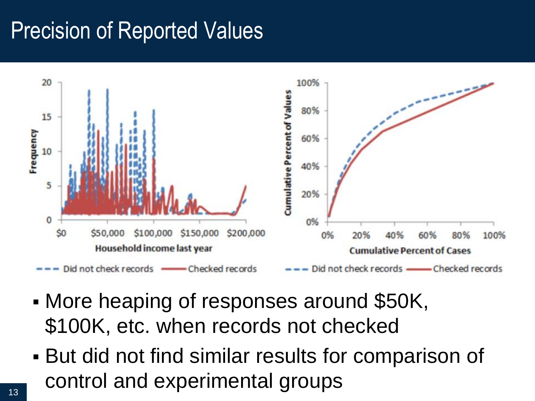# Precision of Reported Values



- More heaping of responses around \$50K, \$100K, etc. when records not checked
- But did not find similar results for comparison of control and experimental groups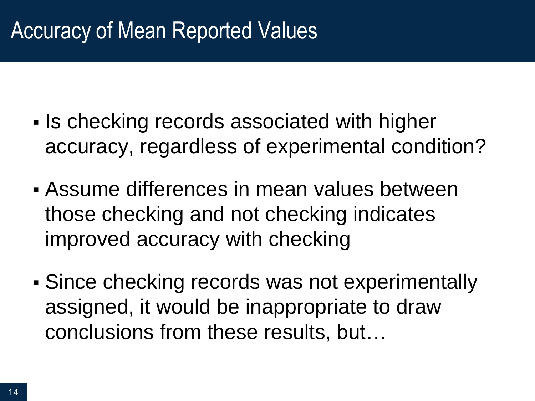# Accuracy of Mean Reported Values

- **Is checking records associated with higher** accuracy, regardless of experimental condition?
- Assume differences in mean values between those checking and not checking indicates improved accuracy with checking
- Since checking records was not experimentally assigned, it would be inappropriate to draw conclusions from these results, but…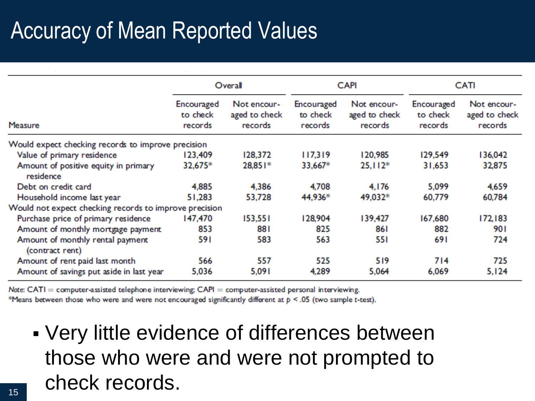# Accuracy of Mean Reported Values

|                                                        | Overall                           |                                         | <b>CAPI</b>                       |                                         | <b>CATI</b>                       |                                         |
|--------------------------------------------------------|-----------------------------------|-----------------------------------------|-----------------------------------|-----------------------------------------|-----------------------------------|-----------------------------------------|
| Measure                                                | Encouraged<br>to check<br>records | Not encour-<br>aged to check<br>records | Encouraged<br>to check<br>records | Not encour-<br>aged to check<br>records | Encouraged<br>to check<br>records | Not encour-<br>aged to check<br>records |
| Would expect checking records to improve precision     |                                   |                                         |                                   |                                         |                                   |                                         |
| Value of primary residence                             | 123,409                           | 128,372                                 | 117,319                           | 120,985                                 | 129,549                           | 136,042                                 |
| Amount of positive equity in primary<br>residence      | 32,675*                           | 28,851*                                 | 33,667*                           | $25,112*$                               | 31,653                            | 32,875                                  |
| Debt on credit card                                    | 4,885                             | 4,386                                   | 4,708                             | 4,176                                   | 5,099                             | 4,659                                   |
| Household income last year                             | 51,283                            | 53,728                                  | 44,936*                           | 49,032*                                 | 60,779                            | 60,784                                  |
| Would not expect checking records to improve precision |                                   |                                         |                                   |                                         |                                   |                                         |
| Purchase price of primary residence                    | 147,470                           | 153,551                                 | 128,904                           | 139,427                                 | 167,680                           | 172,183                                 |
| Amount of monthly mortgage payment                     | 853                               | 881                                     | 825                               | 861                                     | 882                               | 901                                     |
| Amount of monthly rental payment<br>(contract rent)    | 591                               | 583                                     | 563                               | 551                                     | 691                               | 724                                     |
| Amount of rent paid last month                         | 566                               | 557                                     | 525                               | 519                                     | 714                               | 725                                     |
| Amount of savings put aside in last year               | 5,036                             | 5,091                                   | 4,289                             | 5.064                                   | 6,069                             | 5,124                                   |

Note:  $CATI =$  computer-assisted telephone interviewing;  $CAPI =$  computer-assisted personal interviewing.

\*Means between those who were and were not encouraged significantly different at  $p \le 0.05$  (two sample t-test).

 Very little evidence of differences between those who were and were not prompted to check records.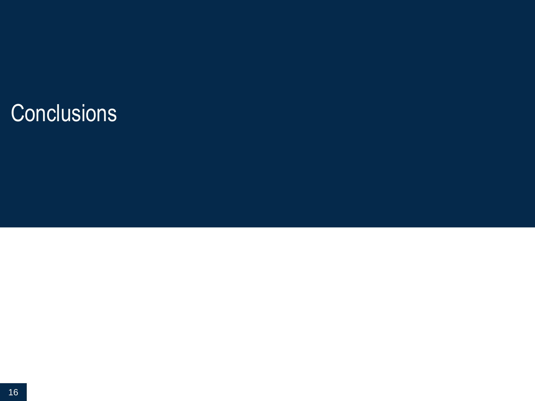# **Conclusions**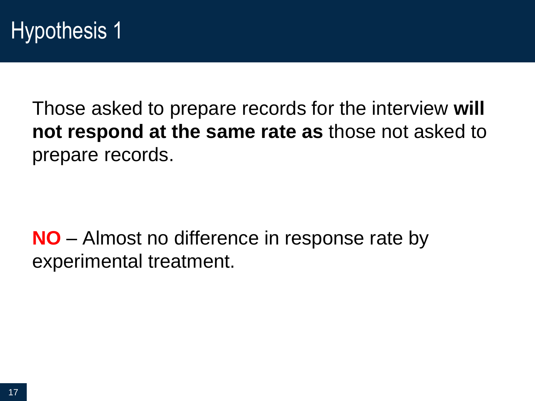Those asked to prepare records for the interview **will not respond at the same rate as** those not asked to prepare records.

**NO** – Almost no difference in response rate by experimental treatment.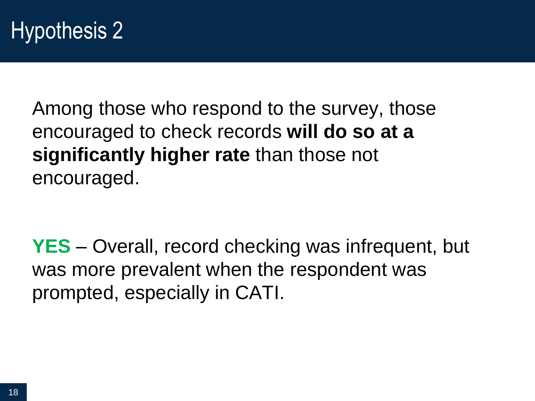Among those who respond to the survey, those encouraged to check records **will do so at a significantly higher rate** than those not encouraged.

**YES** – Overall, record checking was infrequent, but was more prevalent when the respondent was prompted, especially in CATI.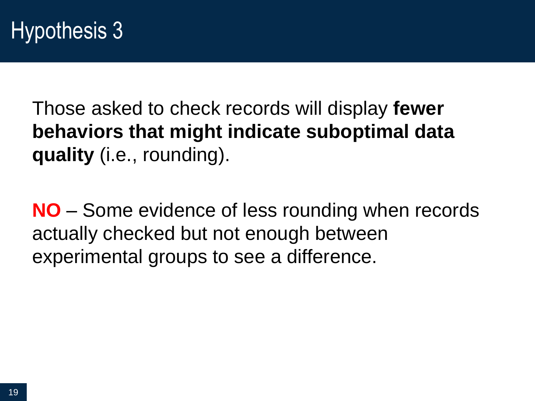Those asked to check records will display **fewer behaviors that might indicate suboptimal data quality** (i.e., rounding).

**NO** – Some evidence of less rounding when records actually checked but not enough between experimental groups to see a difference.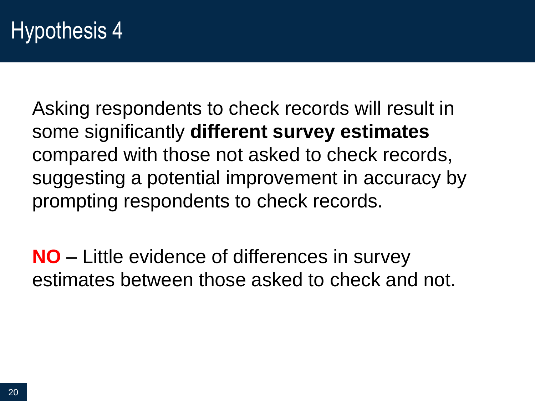## Hypothesis 4

Asking respondents to check records will result in some significantly **different survey estimates** compared with those not asked to check records, suggesting a potential improvement in accuracy by prompting respondents to check records.

**NO** – Little evidence of differences in survey estimates between those asked to check and not.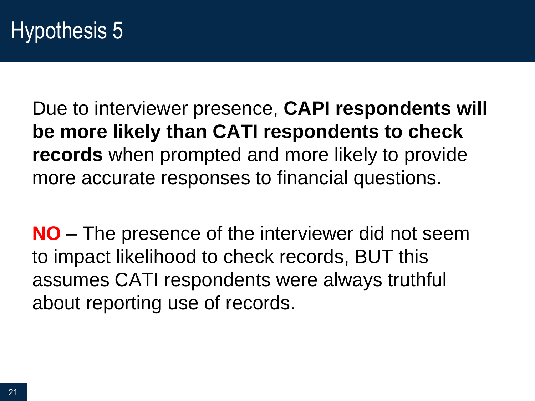Due to interviewer presence, **CAPI respondents will be more likely than CATI respondents to check records** when prompted and more likely to provide more accurate responses to financial questions.

**NO** – The presence of the interviewer did not seem to impact likelihood to check records, BUT this assumes CATI respondents were always truthful about reporting use of records.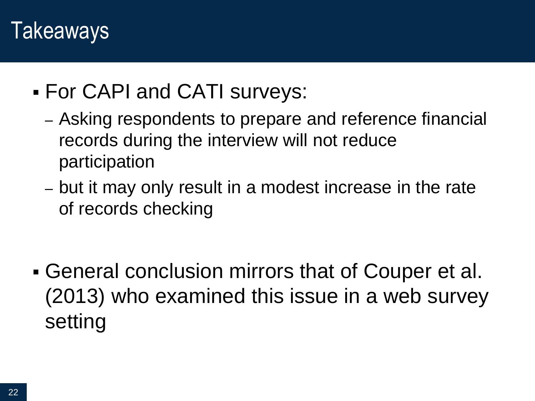### Takeaways

- For CAPI and CATI surveys:
	- Asking respondents to prepare and reference financial records during the interview will not reduce participation
	- but it may only result in a modest increase in the rate of records checking

 General conclusion mirrors that of Couper et al. (2013) who examined this issue in a web survey setting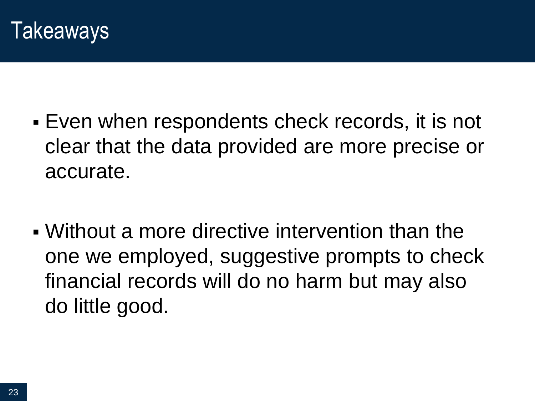

- Even when respondents check records, it is not clear that the data provided are more precise or accurate.
- Without a more directive intervention than the one we employed, suggestive prompts to check financial records will do no harm but may also do little good.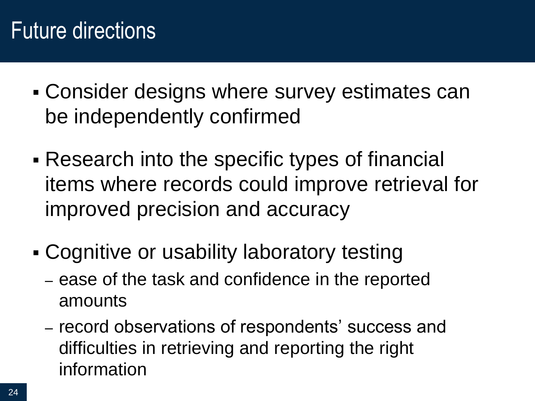# Future directions

- Consider designs where survey estimates can be independently confirmed
- Research into the specific types of financial items where records could improve retrieval for improved precision and accuracy
- Cognitive or usability laboratory testing
	- ease of the task and confidence in the reported amounts
	- record observations of respondents' success and difficulties in retrieving and reporting the right information